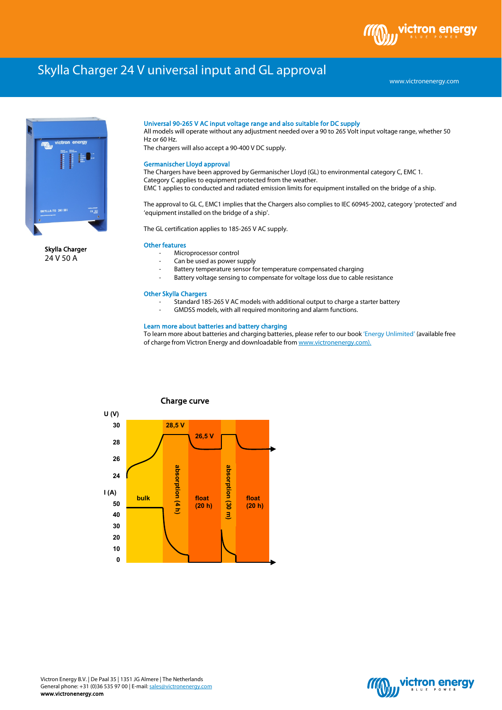# Skylla Charger 24 V universal input and GL approval

www.victronenergy.com

ctron



Skylla Charger 24 V 50 A

#### Universal 90-265 V AC input voltage range and also suitable for DC supply

All models will operate without any adjustment needed over a 90 to 265 Volt input voltage range, whether 50 Hz or 60 Hz.

The chargers will also accept a 90-400 V DC supply.

#### Germanischer Lloyd approval

The Chargers have been approved by Germanischer Lloyd (GL) to environmental category C, EMC 1. Category C applies to equipment protected from the weather. EMC 1 applies to conducted and radiated emission limits for equipment installed on the bridge of a ship.

The approval to GL C, EMC1 implies that the Chargers also complies to IEC 60945-2002, category 'protected' and 'equipment installed on the bridge of a ship'.

The GL certification applies to 185-265 V AC supply.

## Other features

- Microprocessor control
- Can be used as power supply
- Battery temperature sensor for temperature compensated charging
- Battery voltage sensing to compensate for voltage loss due to cable resistance

## Other Skylla Chargers

- Standard 185-265 V AC models with additional output to charge a starter battery
- GMDSS models, with all required monitoring and alarm functions.

## Learn more about batteries and battery charging

To learn more about batteries and charging batteries, please refer to our book 'Energy Unlimited' (available free of charge from Victron Energy and downloadable from www.victronenergy.com).



## Charge curve